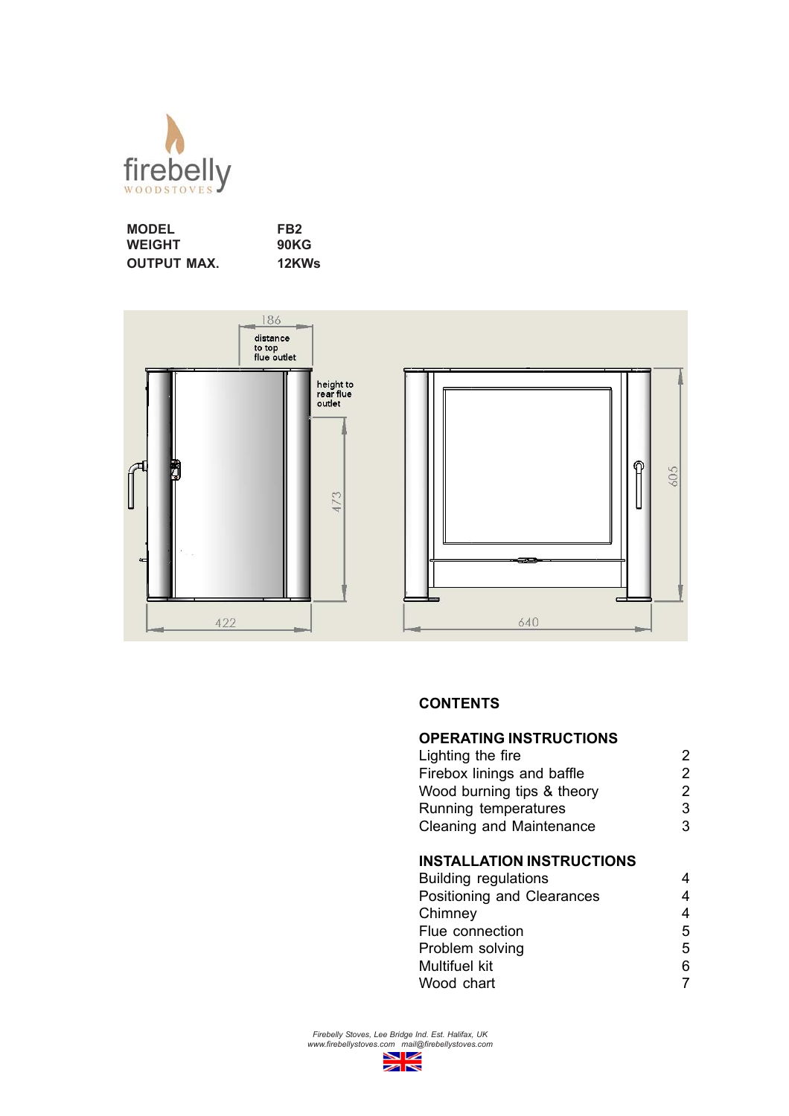

| <b>MODEL</b>       | FB <sub>2</sub> |
|--------------------|-----------------|
| <b>WEIGHT</b>      | <b>90KG</b>     |
| <b>OUTPUT MAX.</b> | 12KWs           |



## **CONTENTS**

| <b>OPERATING INSTRUCTIONS</b>    |   |
|----------------------------------|---|
| Lighting the fire                | 2 |
| Firebox linings and baffle       | 2 |
| Wood burning tips & theory       | 2 |
| Running temperatures             | 3 |
| <b>Cleaning and Maintenance</b>  | 3 |
|                                  |   |
| <b>INSTALLATION INSTRUCTIONS</b> |   |
| <b>Building regulations</b>      |   |
| Positioning and Clearances       |   |
|                                  |   |

| Positioning and Clearances | 4 |
|----------------------------|---|
| Chimney                    | 4 |
| Flue connection            | 5 |
| Problem solving            | 5 |
| Multifuel kit              | 6 |
| Wood chart                 |   |

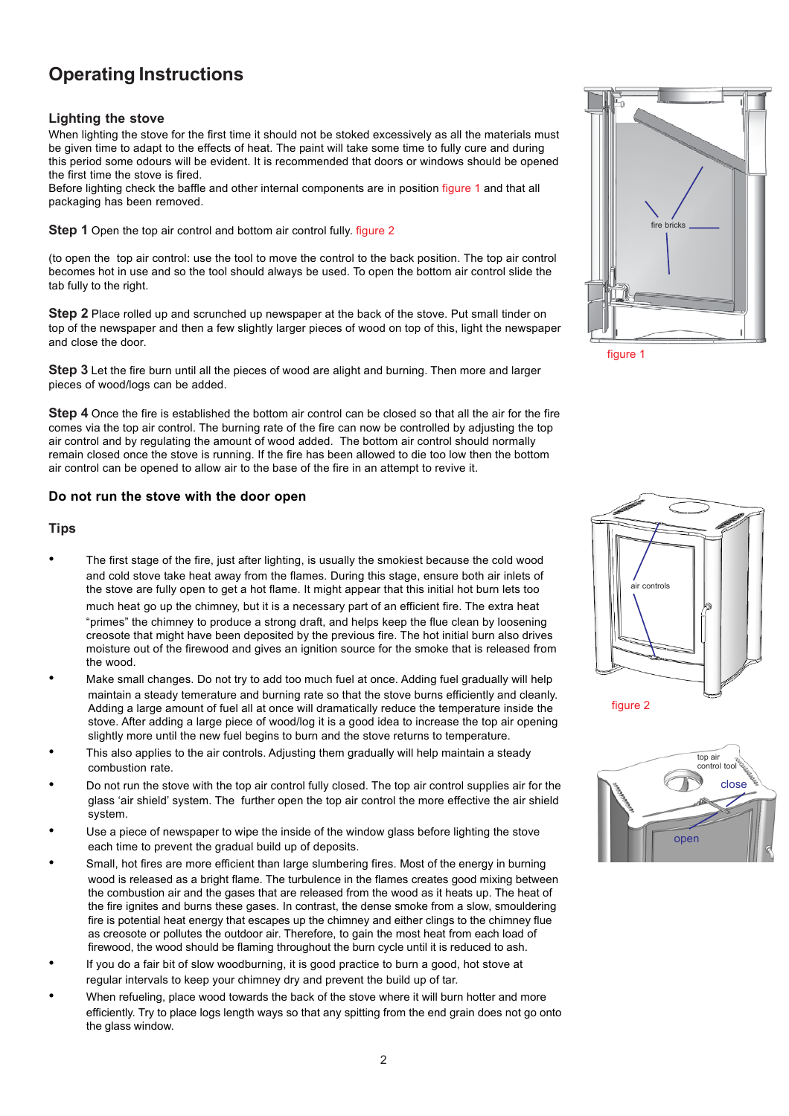# **Operating Instructions**

### **Lighting the stove**

When lighting the stove for the first time it should not be stoked excessively as all the materials must be given time to adapt to the effects of heat. The paint will take some time to fully cure and during this period some odours will be evident. It is recommended that doors or windows should be opened the first time the stove is fired.

Before lighting check the baffle and other internal components are in position figure 1 and that all packaging has been removed.

**Step 1** Open the top air control and bottom air control fully, figure 2

(to open the top air control: use the tool to move the control to the back position. The top air control becomes hot in use and so the tool should always be used. To open the bottom air control slide the tab fully to the right.

**Step 2** Place rolled up and scrunched up newspaper at the back of the stove. Put small tinder on top of the newspaper and then a few slightly larger pieces of wood on top of this, light the newspaper and close the door.

**Step 3** Let the fire burn until all the pieces of wood are alight and burning. Then more and larger pieces of wood/logs can be added.

**Step 4** Once the fire is established the bottom air control can be closed so that all the air for the fire comes via the top air control. The burning rate of the fire can now be controlled by adjusting the top air control and by regulating the amount of wood added. The bottom air control should normally remain closed once the stove is running. If the fire has been allowed to die too low then the bottom air control can be opened to allow air to the base of the fire in an attempt to revive it.

### **Do not run the stove with the door open**

### **Tips**

- The first stage of the fire, just after lighting, is usually the smokiest because the cold wood and cold stove take heat away from the flames. During this stage, ensure both air inlets of the stove are fully open to get a hot flame. It might appear that this initial hot burn lets too much heat go up the chimney, but it is a necessary part of an efficient fire. The extra heat "primes" the chimney to produce a strong draft, and helps keep the flue clean by loosening creosote that might have been deposited by the previous fire. The hot initial burn also drives moisture out of the firewood and gives an ignition source for the smoke that is released from the wood.
- Make small changes. Do not try to add too much fuel at once. Adding fuel gradually will help maintain a steady temerature and burning rate so that the stove burns efficiently and cleanly. Adding a large amount of fuel all at once will dramatically reduce the temperature inside the stove. After adding a large piece of wood/log it is a good idea to increase the top air opening slightly more until the new fuel begins to burn and the stove returns to temperature.
- This also applies to the air controls. Adjusting them gradually will help maintain a steady combustion rate.
- Do not run the stove with the top air control fully closed. The top air control supplies air for the glass 'air shield' system. The further open the top air control the more effective the air shield system.
- Use a piece of newspaper to wipe the inside of the window glass before lighting the stove each time to prevent the gradual build up of deposits.
- Small, hot fires are more efficient than large slumbering fires. Most of the energy in burning wood is released as a bright flame. The turbulence in the flames creates good mixing between the combustion air and the gases that are released from the wood as it heats up. The heat of the fire ignites and burns these gases. In contrast, the dense smoke from a slow, smouldering fire is potential heat energy that escapes up the chimney and either clings to the chimney flue as creosote or pollutes the outdoor air. Therefore, to gain the most heat from each load of firewood, the wood should be flaming throughout the burn cycle until it is reduced to ash.
- If you do a fair bit of slow woodburning, it is good practice to burn a good, hot stove at regular intervals to keep your chimney dry and prevent the build up of tar.
- When refueling, place wood towards the back of the stove where it will burn hotter and more efficiently. Try to place logs length ways so that any spitting from the end grain does not go onto the glass window.



figure 1





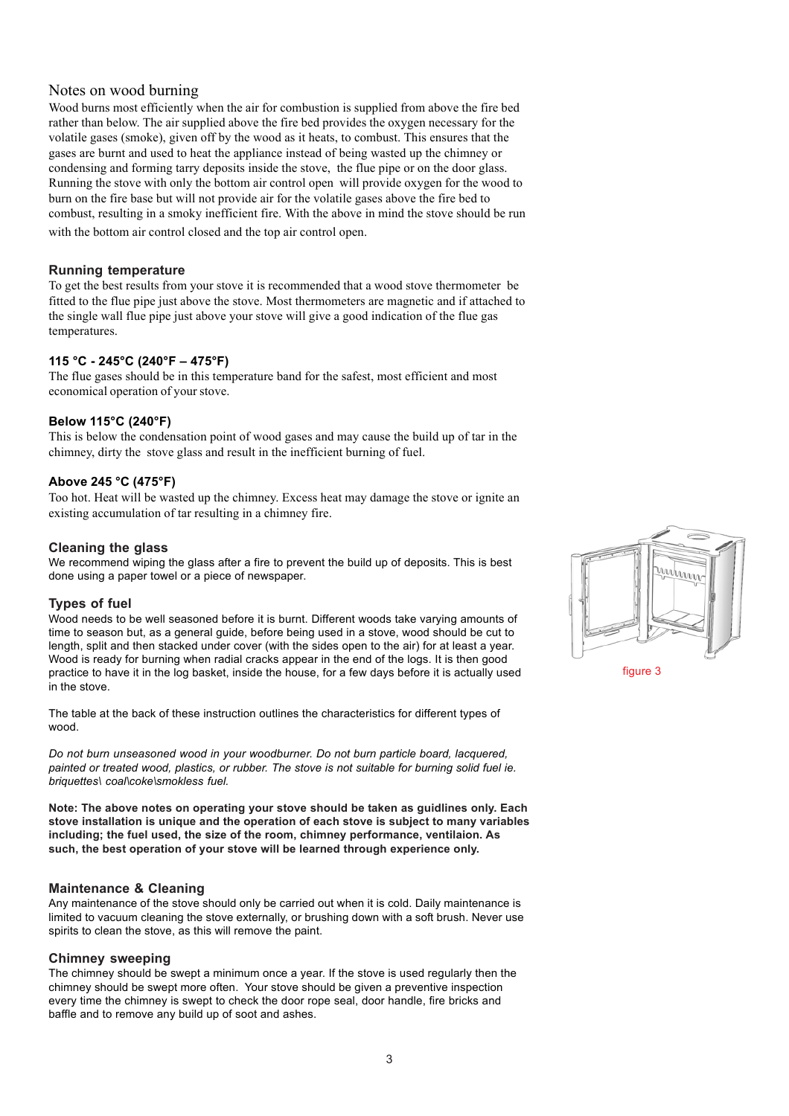## Notes on wood burning

Wood burns most efficiently when the air for combustion is supplied from above the fire bed rather than below. The air supplied above the fire bed provides the oxygen necessary for the volatile gases (smoke), given off by the wood as it heats, to combust. This ensures that the gases are burnt and used to heat the appliance instead of being wasted up the chimney or condensing and forming tarry deposits inside the stove, the flue pipe or on the door glass. Running the stove with only the bottom air control open will provide oxygen for the wood to burn on the fire base but will not provide air for the volatile gases above the fire bed to combust, resulting in a smoky inefficient fire. With the above in mind the stove should be run with the bottom air control closed and the top air control open.

## **Running temperature**

To get the best results from your stove it is recommended that a wood stove thermometer be fitted to the flue pipe just above the stove. Most thermometers are magnetic and if attached to the single wall flue pipe just above your stove will give a good indication of the flue gas temperatures.

## **115 °C - 245°C (240°F – 475°F)**

The flue gases should be in this temperature band for the safest, most efficient and most economical operation of your stove.

### **Below 115°C (240°F)**

This is below the condensation point of wood gases and may cause the build up of tar in the chimney, dirty the stove glass and result in the inefficient burning of fuel.

### **Above 245 °C (475°F)**

Too hot. Heat will be wasted up the chimney. Excess heat may damage the stove or ignite an existing accumulation of tar resulting in a chimney fire.

## **Cleaning the glass**

We recommend wiping the glass after a fire to prevent the build up of deposits. This is best done using a paper towel or a piece of newspaper.

## **Types of fuel**

Wood needs to be well seasoned before it is burnt. Different woods take varying amounts of time to season but, as a general guide, before being used in a stove, wood should be cut to length, split and then stacked under cover (with the sides open to the air) for at least a year. Wood is ready for burning when radial cracks appear in the end of the logs. It is then good practice to have it in the log basket, inside the house, for a few days before it is actually used in the stove.

The table at the back of these instruction outlines the characteristics for different types of wood.

*Do not burn unseasoned wood in your woodburner. Do not burn particle board, lacquered, painted or treated wood, plastics, or rubber. The stove is not suitable for burning solid fuel ie. briquettes\ coal\coke\smokless fuel.*

**Note: The above notes on operating your stove should be taken as guidlines only. Each stove installation is unique and the operation of each stove is subject to many variables including; the fuel used, the size of the room, chimney performance, ventilaion. As such, the best operation of your stove will be learned through experience only.**

### **Maintenance & Cleaning**

Any maintenance of the stove should only be carried out when it is cold. Daily maintenance is limited to vacuum cleaning the stove externally, or brushing down with a soft brush. Never use spirits to clean the stove, as this will remove the paint.

### **Chimney sweeping**

The chimney should be swept a minimum once a year. If the stove is used regularly then the chimney should be swept more often. Your stove should be given a preventive inspection every time the chimney is swept to check the door rope seal, door handle, fire bricks and baffle and to remove any build up of soot and ashes.

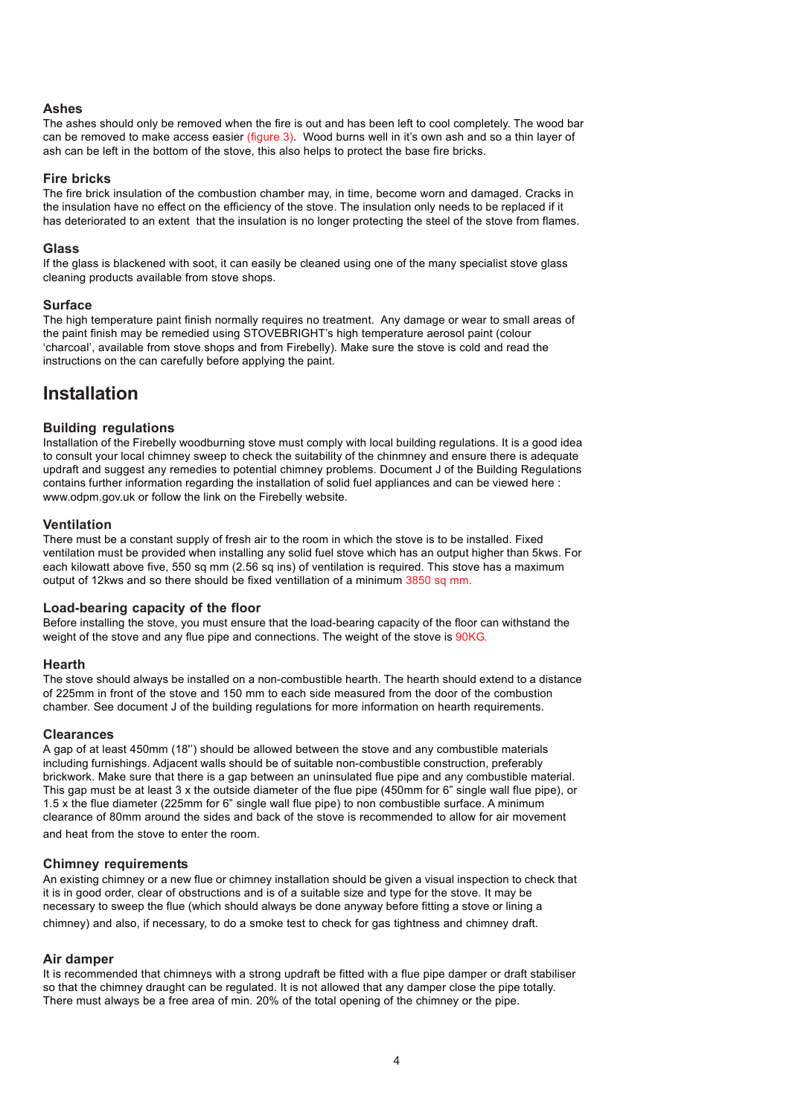### **Ashes**

The ashes should only be removed when the fire is out and has been left to cool completely. The wood bar can be removed to make access easier (figure 3). Wood burns well in it's own ash and so a thin layer of ash can be left in the bottom of the stove, this also helps to protect the base fire bricks.

### **Fire bricks**

The fire brick insulation of the combustion chamber may, in time, become worn and damaged. Cracks in the insulation have no effect on the efficiency of the stove. The insulation only needs to be replaced if it has deteriorated to an extent that the insulation is no longer protecting the steel of the stove from flames.

### **Glass**

If the glass is blackened with soot, it can easily be cleaned using one of the many specialist stove glass cleaning products available from stove shops.

### **Surface**

The high temperature paint finish normally requires no treatment. Any damage or wear to small areas of the paint finish may be remedied using STOVEBRIGHT's high temperature aerosol paint (colour 'charcoal', available from stove shops and from Firebelly). Make sure the stove is cold and read the instructions on the can carefully before applying the paint.

## **Installation**

## **Building regulations**

Installation of the Firebelly woodburning stove must comply with local building regulations. It is a good idea to consult your local chimney sweep to check the suitability of the chinmney and ensure there is adequate updraft and suggest any remedies to potential chimney problems. Document J of the Building Regulations contains further information regarding the installation of solid fuel appliances and can be viewed here : www.odpm.gov.uk or follow the link on the Firebelly website.

## **Ventilation**

There must be a constant supply of fresh air to the room in which the stove is to be installed. Fixed ventilation must be provided when installing any solid fuel stove which has an output higher than 5kws. For each kilowatt above five, 550 sq mm (2.56 sq ins) of ventilation is required. This stove has a maximum output of 12kws and so there should be fixed ventillation of a minimum 3850 sq mm.

## **Load-bearing capacity of the floor**

Before installing the stove, you must ensure that the load-bearing capacity of the floor can withstand the weight of the stove and any flue pipe and connections. The weight of the stove is 90KG.

## **Hearth**

The stove should always be installed on a non-combustible hearth. The hearth should extend to a distance of 225mm in front of the stove and 150 mm to each side measured from the door of the combustion chamber. See document J of the building regulations for more information on hearth requirements.

## **Clearances**

A gap of at least 450mm (18'') should be allowed between the stove and any combustible materials including furnishings. Adjacent walls should be of suitable non-combustible construction, preferably brickwork. Make sure that there is a gap between an uninsulated flue pipe and any combustible material. This gap must be at least 3 x the outside diameter of the flue pipe (450mm for 6" single wall flue pipe), or 1.5 x the flue diameter (225mm for 6" single wall flue pipe) to non combustible surface. A minimum clearance of 80mm around the sides and back of the stove is recommended to allow for air movement

and heat from the stove to enter the room.

## **Chimney requirements**

An existing chimney or a new flue or chimney installation should be given a visual inspection to check that it is in good order, clear of obstructions and is of a suitable size and type for the stove. It may be necessary to sweep the flue (which should always be done anyway before fitting a stove or lining a chimney) and also, if necessary, to do a smoke test to check for gas tightness and chimney draft.

### **Air damper**

It is recommended that chimneys with a strong updraft be fitted with a flue pipe damper or draft stabiliser so that the chimney draught can be regulated. It is not allowed that any damper close the pipe totally. There must always be a free area of min. 20% of the total opening of the chimney or the pipe.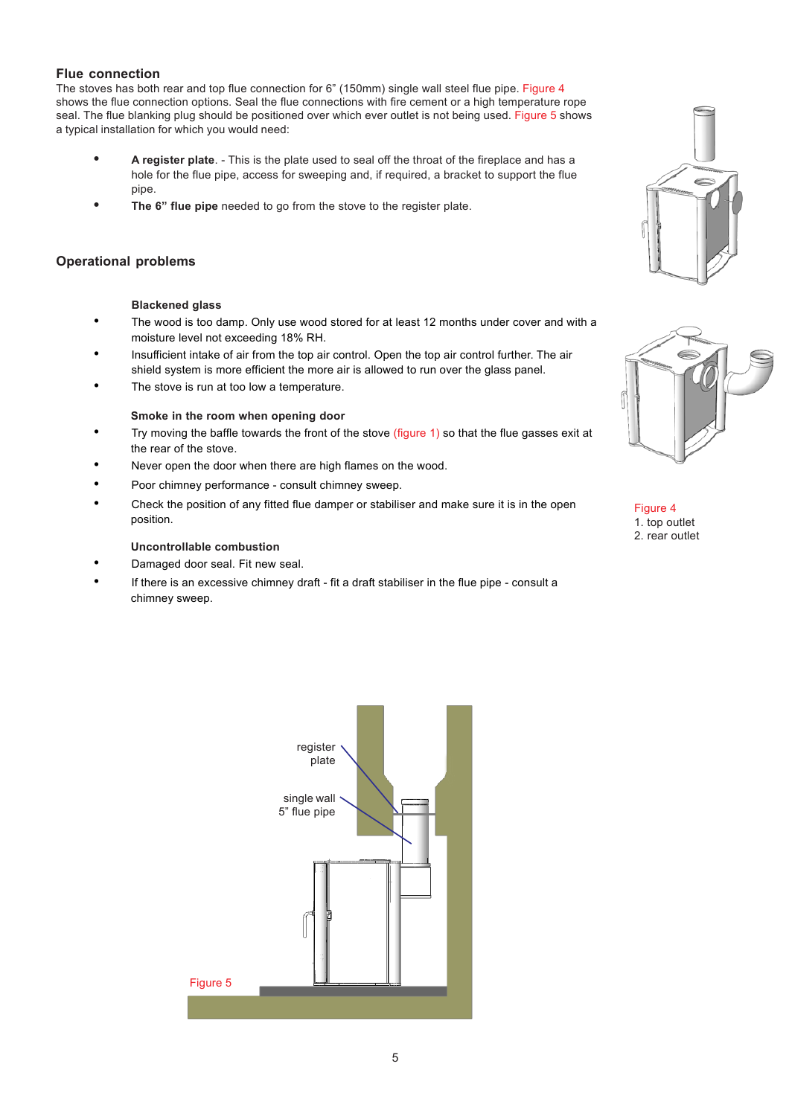## **Flue connection**

The stoves has both rear and top flue connection for 6" (150mm) single wall steel flue pipe. Figure 4 shows the flue connection options. Seal the flue connections with fire cement or a high temperature rope seal. The flue blanking plug should be positioned over which ever outlet is not being used. Figure 5 shows a typical installation for which you would need:

- **• A register plate**. This is the plate used to seal off the throat of the fireplace and has a hole for the flue pipe, access for sweeping and, if required, a bracket to support the flue pipe.
- **• The 6" flue pipe** needed to go from the stove to the register plate.

## **Operational problems**

### **Blackened glass**

- The wood is too damp. Only use wood stored for at least 12 months under cover and with a moisture level not exceeding 18% RH.
- Insufficient intake of air from the top air control. Open the top air control further. The air shield system is more efficient the more air is allowed to run over the glass panel.
- The stove is run at too low a temperature.

### **Smoke in the room when opening door**

- Try moving the baffle towards the front of the stove (figure 1) so that the flue gasses exit at the rear of the stove.
- Never open the door when there are high flames on the wood.
- Poor chimney performance consult chimney sweep.
- Check the position of any fitted flue damper or stabiliser and make sure it is in the open position.

## **Uncontrollable combustion**

- Damaged door seal. Fit new seal.
- If there is an excessive chimney draft fit a draft stabiliser in the flue pipe consult a chimney sweep.







Figure 4 1. top outlet 2. rear outlet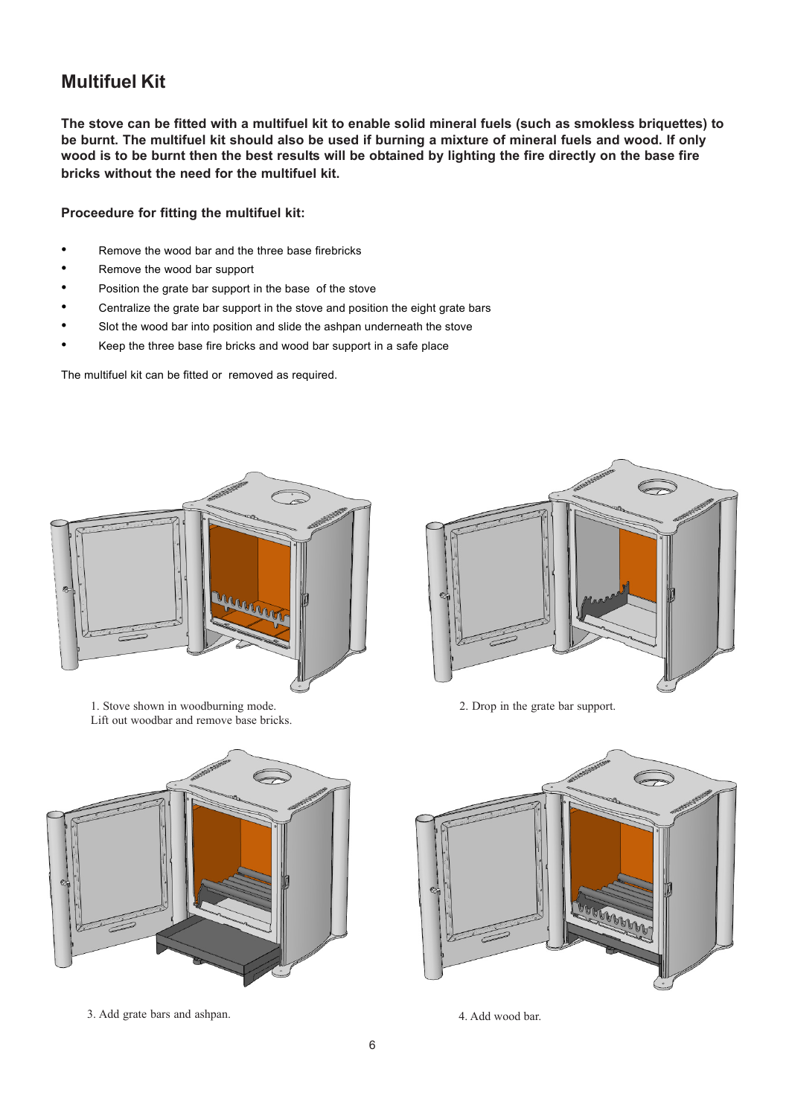## **Multifuel Kit**

**The stove can be fitted with a multifuel kit to enable solid mineral fuels (such as smokless briquettes) to be burnt. The multifuel kit should also be used if burning a mixture of mineral fuels and wood. If only wood is to be burnt then the best results will be obtained by lighting the fire directly on the base fire bricks without the need for the multifuel kit.**

**Proceedure for fitting the multifuel kit:**

- Remove the wood bar and the three base firebricks
- Remove the wood bar support
- Position the grate bar support in the base of the stove
- Centralize the grate bar support in the stove and position the eight grate bars
- Slot the wood bar into position and slide the ashpan underneath the stove
- Keep the three base fire bricks and wood bar support in a safe place

The multifuel kit can be fitted or removed as required.



1. Stove shown in woodburning mode. Lift out woodbar and remove base bricks.



2. Drop in the grate bar support.





3. Add grate bars and ashpan. 4. Add wood bar.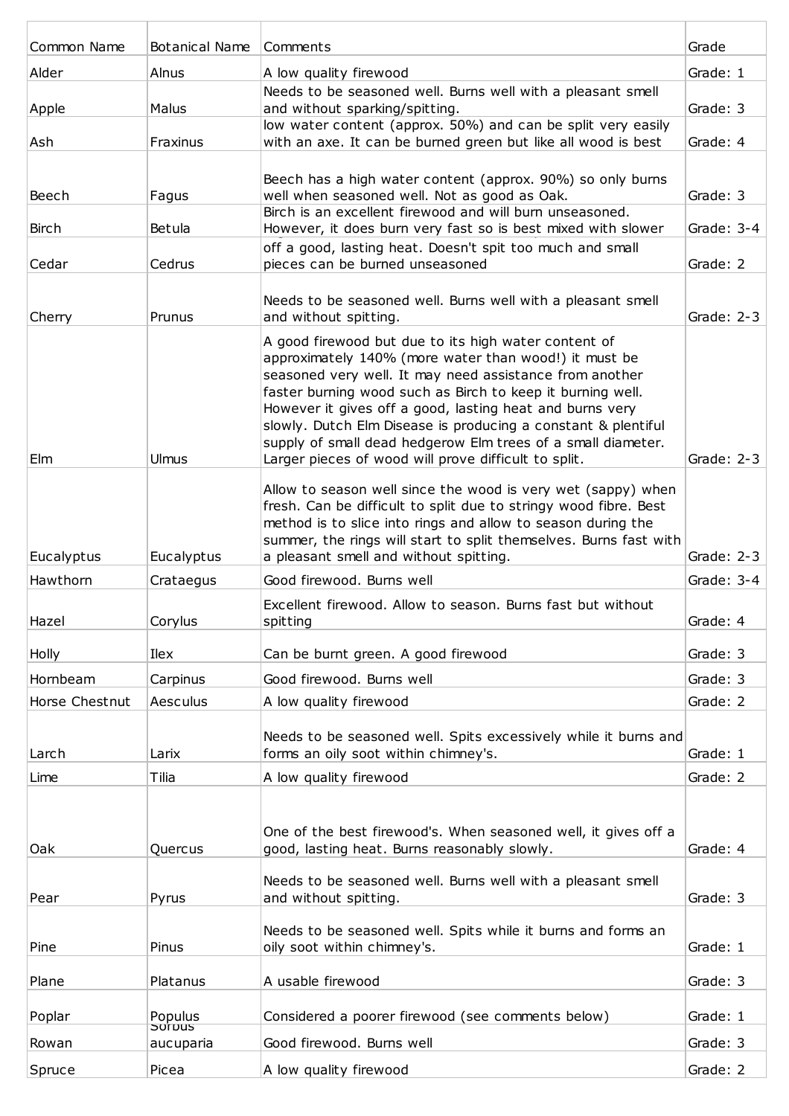| Common Name    | Botanical Name      | Comments                                                                                                                                                                                                                                                                                                                                                                                                                                                                                    | Grade        |
|----------------|---------------------|---------------------------------------------------------------------------------------------------------------------------------------------------------------------------------------------------------------------------------------------------------------------------------------------------------------------------------------------------------------------------------------------------------------------------------------------------------------------------------------------|--------------|
| Alder          | Alnus               | A low quality firewood                                                                                                                                                                                                                                                                                                                                                                                                                                                                      | Grade: 1     |
| Apple          | Malus               | Needs to be seasoned well. Burns well with a pleasant smell<br>and without sparking/spitting.                                                                                                                                                                                                                                                                                                                                                                                               | Grade: 3     |
|                |                     | low water content (approx. 50%) and can be split very easily                                                                                                                                                                                                                                                                                                                                                                                                                                |              |
| Ash            | Fraxinus            | with an axe. It can be burned green but like all wood is best                                                                                                                                                                                                                                                                                                                                                                                                                               | Grade: 4     |
| Beech          | Fagus               | Beech has a high water content (approx. 90%) so only burns<br>well when seasoned well. Not as good as Oak.<br>Birch is an excellent firewood and will burn unseasoned.                                                                                                                                                                                                                                                                                                                      | Grade: 3     |
| <b>Birch</b>   | Betula              | However, it does burn very fast so is best mixed with slower                                                                                                                                                                                                                                                                                                                                                                                                                                | Grade: 3-4   |
| Cedar          | Cedrus              | off a good, lasting heat. Doesn't spit too much and small<br>pieces can be burned unseasoned                                                                                                                                                                                                                                                                                                                                                                                                | Grade: 2     |
| Cherry         | Prunus              | Needs to be seasoned well. Burns well with a pleasant smell<br>and without spitting.                                                                                                                                                                                                                                                                                                                                                                                                        | Grade: $2-3$ |
| Elm            | Ulmus               | A good firewood but due to its high water content of<br>approximately 140% (more water than wood!) it must be<br>seasoned very well. It may need assistance from another<br>faster burning wood such as Birch to keep it burning well.<br>However it gives off a good, lasting heat and burns very<br>slowly. Dutch Elm Disease is producing a constant & plentiful<br>supply of small dead hedgerow Elm trees of a small diameter.<br>Larger pieces of wood will prove difficult to split. | Grade: $2-3$ |
| Eucalyptus     | Eucalyptus          | Allow to season well since the wood is very wet (sappy) when<br>fresh. Can be difficult to split due to stringy wood fibre. Best<br>method is to slice into rings and allow to season during the<br>summer, the rings will start to split themselves. Burns fast with<br>a pleasant smell and without spitting.                                                                                                                                                                             | Grade: $2-3$ |
| Hawthorn       | Crataegus           | Good firewood. Burns well                                                                                                                                                                                                                                                                                                                                                                                                                                                                   | Grade: 3-4   |
| Hazel          | Corylus             | Excellent firewood. Allow to season. Burns fast but without<br>spitting                                                                                                                                                                                                                                                                                                                                                                                                                     | Grade: 4     |
|                |                     |                                                                                                                                                                                                                                                                                                                                                                                                                                                                                             |              |
| Holly          | Ilex                | Can be burnt green. A good firewood                                                                                                                                                                                                                                                                                                                                                                                                                                                         | Grade: 3     |
| Hornbeam       | Carpinus            | Good firewood. Burns well                                                                                                                                                                                                                                                                                                                                                                                                                                                                   | Grade: 3     |
| Horse Chestnut | Aesculus            | A low quality firewood                                                                                                                                                                                                                                                                                                                                                                                                                                                                      | Grade: 2     |
| Larch          | Larix               | Needs to be seasoned well. Spits excessively while it burns and<br>forms an oily soot within chimney's.                                                                                                                                                                                                                                                                                                                                                                                     | Grade: 1     |
| Lime           | Tilia               | A low quality firewood                                                                                                                                                                                                                                                                                                                                                                                                                                                                      | Grade: 2     |
| Oak            | Quercus             | One of the best firewood's. When seasoned well, it gives off a<br>good, lasting heat. Burns reasonably slowly.                                                                                                                                                                                                                                                                                                                                                                              | Grade: 4     |
|                |                     |                                                                                                                                                                                                                                                                                                                                                                                                                                                                                             |              |
| Pear           | Pyrus               | Needs to be seasoned well. Burns well with a pleasant smell<br>and without spitting.                                                                                                                                                                                                                                                                                                                                                                                                        | Grade: 3     |
| Pine           | Pinus               | Needs to be seasoned well. Spits while it burns and forms an<br>oily soot within chimney's.                                                                                                                                                                                                                                                                                                                                                                                                 | Grade: 1     |
| Plane          | Platanus            | A usable firewood                                                                                                                                                                                                                                                                                                                                                                                                                                                                           | Grade: 3     |
| Poplar         | Populus             | Considered a poorer firewood (see comments below)                                                                                                                                                                                                                                                                                                                                                                                                                                           | Grade: 1     |
| Rowan          | porpus<br>aucuparia | Good firewood. Burns well                                                                                                                                                                                                                                                                                                                                                                                                                                                                   | Grade: 3     |
| Spruce         | Picea               | A low quality firewood                                                                                                                                                                                                                                                                                                                                                                                                                                                                      | Grade: 2     |